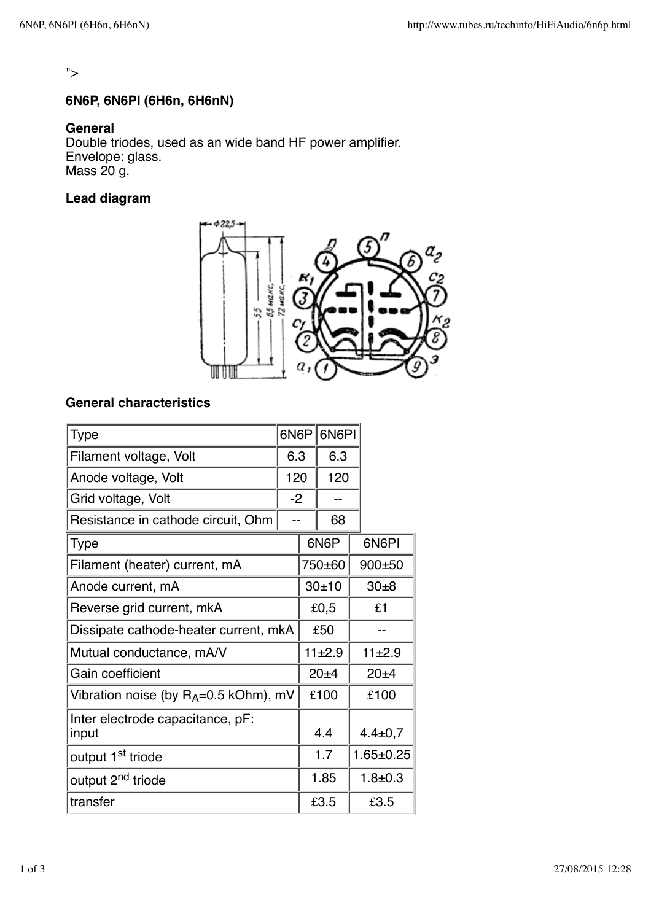">

## **6N6P, 6N6PI (6H6n, 6H6nN)**

#### **General**

Double triodes, used as an wide band HF power amplifier. Envelope: glass. Mass 20 g.

### **Lead diagram**



## **General characteristics**

| <b>Type</b>                               | 6N6P |            | 6N6PI |               |
|-------------------------------------------|------|------------|-------|---------------|
| Filament voltage, Volt                    | 6.3  |            | 6.3   |               |
| Anode voltage, Volt                       | 120  |            | 120   |               |
| Grid voltage, Volt                        | $-2$ |            | --    |               |
| Resistance in cathode circuit, Ohm        |      |            | 68    |               |
| <b>Type</b>                               |      | 6N6P       |       | 6N6PI         |
| Filament (heater) current, mA             |      | 750±60     |       | $900+50$      |
| Anode current, mA                         |      | 30±10      |       | $30\pm8$      |
| Reverse grid current, mkA                 |      | £0,5       |       | £1            |
| Dissipate cathode-heater current, mkA     |      | £50        |       |               |
| Mutual conductance, mA/V                  |      | $11 + 2.9$ |       | $11 + 2.9$    |
| Gain coefficient                          |      | $20 + 4$   |       | $20 + 4$      |
| Vibration noise (by $R_A = 0.5$ kOhm), mV |      | £100       |       | £100          |
| Inter electrode capacitance, pF:<br>input |      |            | 4.4   | $4.4 \pm 0.7$ |
| output 1 <sup>st</sup> triode             |      | 1.7        |       | $1.65 + 0.25$ |
| output 2 <sup>nd</sup> triode             |      | 1.85       |       | $1.8 + 0.3$   |
| transfer                                  |      | £3.5       |       | £3.5          |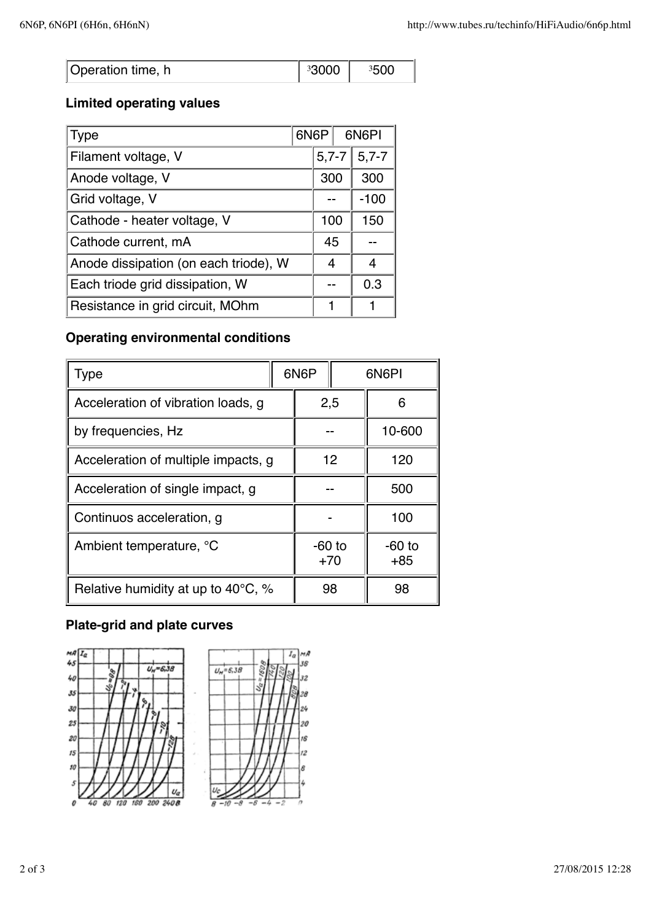|  | Operation time, h |  |  |
|--|-------------------|--|--|
|--|-------------------|--|--|

#### **Limited operating values**

| Type                                  | 6N6P |           | 6N6PI     |
|---------------------------------------|------|-----------|-----------|
| Filament voltage, V                   |      | $5,7 - 7$ | $5,7 - 7$ |
| Anode voltage, V                      |      | 300       | 300       |
| Grid voltage, V                       |      |           | $-100$    |
| Cathode - heater voltage, V           |      | 100       | 150       |
| Cathode current, mA                   |      | 45        |           |
| Anode dissipation (on each triode), W |      |           | 4         |
| Each triode grid dissipation, W       |      |           | 0.3       |
| Resistance in grid circuit, MOhm      |      |           |           |

# **Operating environmental conditions**

| Type                                         | 6N6P              |  | 6N6PI             |  |
|----------------------------------------------|-------------------|--|-------------------|--|
| Acceleration of vibration loads, g           | 2,5               |  | 6                 |  |
| by frequencies, Hz                           |                   |  | 10-600            |  |
| Acceleration of multiple impacts, g          | 12                |  | 120               |  |
| Acceleration of single impact, g             |                   |  | 500               |  |
| Continuos acceleration, g                    |                   |  | 100               |  |
| Ambient temperature, °C                      | $-60$ to<br>$+70$ |  | $-60$ to<br>$+85$ |  |
| Relative humidity at up to $40^{\circ}$ C, % | 98                |  | 98                |  |

#### **Plate-grid and plate curves**